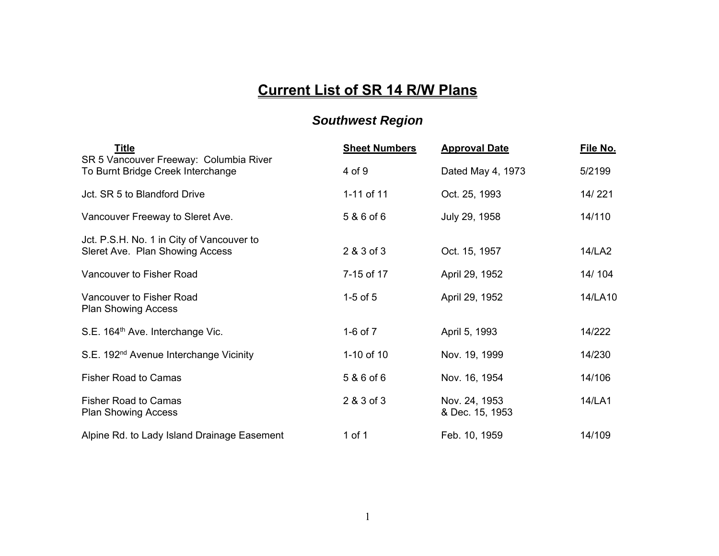## **Current List of SR 14 R/W Plans**

## *Southwest Region*

| <b>Title</b>                                                                 | <b>Sheet Numbers</b> | <b>Approval Date</b>             | File No. |
|------------------------------------------------------------------------------|----------------------|----------------------------------|----------|
| SR 5 Vancouver Freeway: Columbia River<br>To Burnt Bridge Creek Interchange  | 4 of 9               | Dated May 4, 1973                | 5/2199   |
| Jct. SR 5 to Blandford Drive                                                 | 1-11 of 11           | Oct. 25, 1993                    | 14/221   |
| Vancouver Freeway to Sleret Ave.                                             | 5 & 6 of 6           | July 29, 1958                    | 14/110   |
| Jct. P.S.H. No. 1 in City of Vancouver to<br>Sleret Ave. Plan Showing Access | 2 & 3 of 3           | Oct. 15, 1957                    | 14/LA2   |
| Vancouver to Fisher Road                                                     | 7-15 of 17           | April 29, 1952                   | 14/104   |
| Vancouver to Fisher Road<br><b>Plan Showing Access</b>                       | $1-5$ of $5$         | April 29, 1952                   | 14/LA10  |
| S.E. 164 <sup>th</sup> Ave. Interchange Vic.                                 | 1-6 of 7             | April 5, 1993                    | 14/222   |
| S.E. 192 <sup>nd</sup> Avenue Interchange Vicinity                           | 1-10 of 10           | Nov. 19, 1999                    | 14/230   |
| <b>Fisher Road to Camas</b>                                                  | 5 & 6 of 6           | Nov. 16, 1954                    | 14/106   |
| <b>Fisher Road to Camas</b><br><b>Plan Showing Access</b>                    | 2 & 3 of 3           | Nov. 24, 1953<br>& Dec. 15, 1953 | 14/LA1   |
| Alpine Rd. to Lady Island Drainage Easement                                  | 1 of 1               | Feb. 10, 1959                    | 14/109   |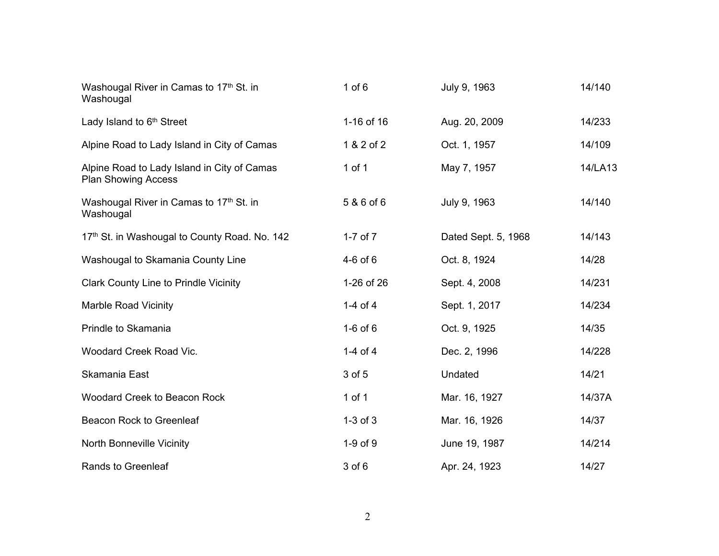| Washougal River in Camas to 17th St. in<br>Washougal                      | $1$ of $6$   | July 9, 1963        | 14/140  |
|---------------------------------------------------------------------------|--------------|---------------------|---------|
| Lady Island to 6 <sup>th</sup> Street                                     | 1-16 of 16   | Aug. 20, 2009       | 14/233  |
| Alpine Road to Lady Island in City of Camas                               | 1 & 2 of 2   | Oct. 1, 1957        | 14/109  |
| Alpine Road to Lady Island in City of Camas<br><b>Plan Showing Access</b> | 1 of $1$     | May 7, 1957         | 14/LA13 |
| Washougal River in Camas to 17th St. in<br>Washougal                      | 5 & 6 of 6   | July 9, 1963        | 14/140  |
| 17th St. in Washougal to County Road. No. 142                             | $1-7$ of $7$ | Dated Sept. 5, 1968 | 14/143  |
| Washougal to Skamania County Line                                         | $4-6$ of $6$ | Oct. 8, 1924        | 14/28   |
| <b>Clark County Line to Prindle Vicinity</b>                              | 1-26 of 26   | Sept. 4, 2008       | 14/231  |
| <b>Marble Road Vicinity</b>                                               | 1-4 of 4     | Sept. 1, 2017       | 14/234  |
| Prindle to Skamania                                                       | $1-6$ of $6$ | Oct. 9, 1925        | 14/35   |
| Woodard Creek Road Vic.                                                   | $1-4$ of $4$ | Dec. 2, 1996        | 14/228  |
| Skamania East                                                             | 3 of 5       | Undated             | 14/21   |
| <b>Woodard Creek to Beacon Rock</b>                                       | $1$ of $1$   | Mar. 16, 1927       | 14/37A  |
| Beacon Rock to Greenleaf                                                  | $1-3$ of $3$ | Mar. 16, 1926       | 14/37   |
| <b>North Bonneville Vicinity</b>                                          | $1-9$ of $9$ | June 19, 1987       | 14/214  |
| <b>Rands to Greenleaf</b>                                                 | $3$ of $6$   | Apr. 24, 1923       | 14/27   |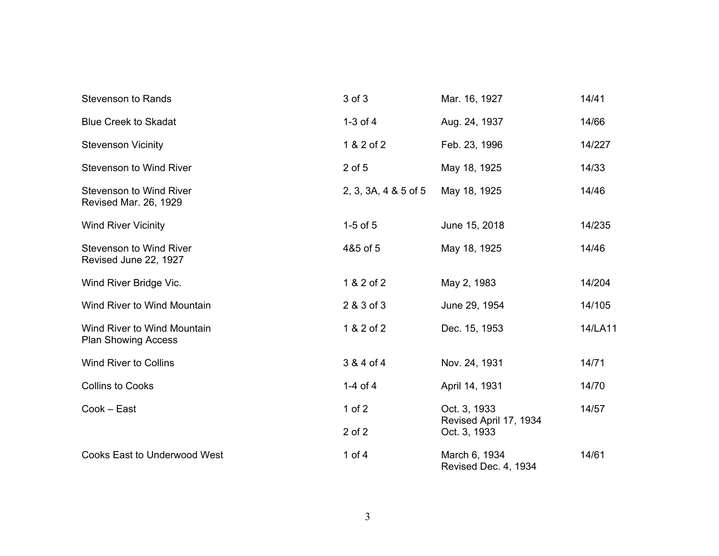| <b>Stevenson to Rands</b>                                 | 3 of 3               | Mar. 16, 1927                          | 14/41   |
|-----------------------------------------------------------|----------------------|----------------------------------------|---------|
| <b>Blue Creek to Skadat</b>                               | $1-3$ of $4$         | Aug. 24, 1937                          | 14/66   |
| <b>Stevenson Vicinity</b>                                 | 1 & 2 of 2           | Feb. 23, 1996                          | 14/227  |
| <b>Stevenson to Wind River</b>                            | $2$ of $5$           | May 18, 1925                           | 14/33   |
| <b>Stevenson to Wind River</b><br>Revised Mar. 26, 1929   | 2, 3, 3A, 4 & 5 of 5 | May 18, 1925                           | 14/46   |
| <b>Wind River Vicinity</b>                                | $1-5$ of $5$         | June 15, 2018                          | 14/235  |
| <b>Stevenson to Wind River</b><br>Revised June 22, 1927   | 4&5 of 5             | May 18, 1925                           | 14/46   |
| Wind River Bridge Vic.                                    | 1 & 2 of 2           | May 2, 1983                            | 14/204  |
| Wind River to Wind Mountain                               | 2 & 3 of 3           | June 29, 1954                          | 14/105  |
| Wind River to Wind Mountain<br><b>Plan Showing Access</b> | 1 & 2 of 2           | Dec. 15, 1953                          | 14/LA11 |
| <b>Wind River to Collins</b>                              | 3 & 4 of 4           | Nov. 24, 1931                          | 14/71   |
| <b>Collins to Cooks</b>                                   | 1-4 of $4$           | April 14, 1931                         | 14/70   |
| Cook - East                                               | 1 of $2$             | Oct. 3, 1933<br>Revised April 17, 1934 | 14/57   |
|                                                           | $2$ of $2$           | Oct. 3, 1933                           |         |
| <b>Cooks East to Underwood West</b>                       | 1 of $4$             | March 6, 1934<br>Revised Dec. 4, 1934  | 14/61   |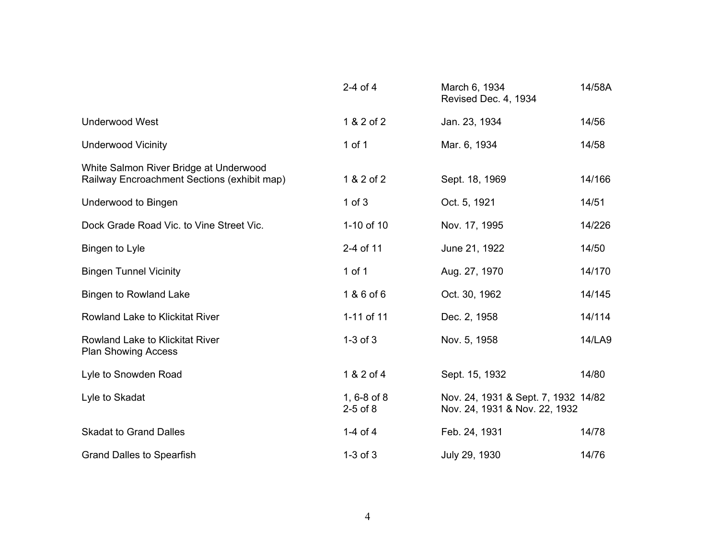|                                                                                       | $2-4$ of $4$                      | March 6, 1934<br>Revised Dec. 4, 1934                                | 14/58A |
|---------------------------------------------------------------------------------------|-----------------------------------|----------------------------------------------------------------------|--------|
| <b>Underwood West</b>                                                                 | 1 & 2 of 2                        | Jan. 23, 1934                                                        | 14/56  |
| <b>Underwood Vicinity</b>                                                             | $1$ of $1$                        | Mar. 6, 1934                                                         | 14/58  |
| White Salmon River Bridge at Underwood<br>Railway Encroachment Sections (exhibit map) | 1 & 2 of 2                        | Sept. 18, 1969                                                       | 14/166 |
| Underwood to Bingen                                                                   | $1$ of $3$                        | Oct. 5, 1921                                                         | 14/51  |
| Dock Grade Road Vic. to Vine Street Vic.                                              | 1-10 of 10                        | Nov. 17, 1995                                                        | 14/226 |
| Bingen to Lyle                                                                        | 2-4 of 11                         | June 21, 1922                                                        | 14/50  |
| <b>Bingen Tunnel Vicinity</b>                                                         | 1 of 1                            | Aug. 27, 1970                                                        | 14/170 |
| Bingen to Rowland Lake                                                                | 1 & 6 of 6                        | Oct. 30, 1962                                                        | 14/145 |
| <b>Rowland Lake to Klickitat River</b>                                                | 1-11 of 11                        | Dec. 2, 1958                                                         | 14/114 |
| Rowland Lake to Klickitat River<br><b>Plan Showing Access</b>                         | $1-3$ of $3$                      | Nov. 5, 1958                                                         | 14/LA9 |
| Lyle to Snowden Road                                                                  | 1 & 2 of 4                        | Sept. 15, 1932                                                       | 14/80  |
| Lyle to Skadat                                                                        | 1, $6 - 8$ of $8$<br>$2-5$ of $8$ | Nov. 24, 1931 & Sept. 7, 1932 14/82<br>Nov. 24, 1931 & Nov. 22, 1932 |        |
| <b>Skadat to Grand Dalles</b>                                                         | 1-4 of 4                          | Feb. 24, 1931                                                        | 14/78  |
| <b>Grand Dalles to Spearfish</b>                                                      | $1-3$ of $3$                      | July 29, 1930                                                        | 14/76  |